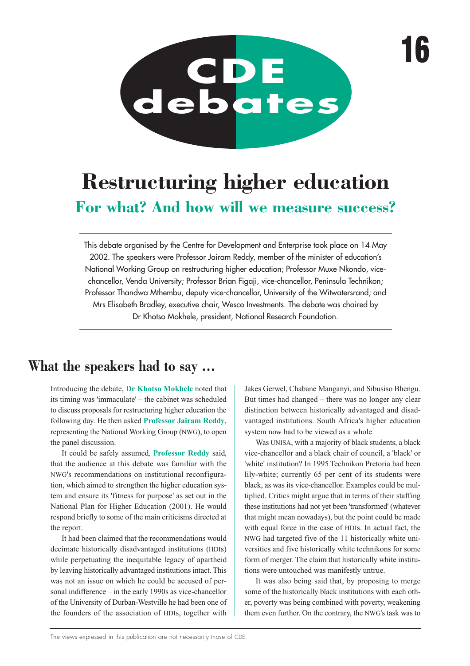

# **Restructuring higher education For what? And how will we measure success?**

This debate organised by the Centre for Development and Enterprise took place on 14 May 2002. The speakers were Professor Jairam Reddy, member of the minister of education's National Working Group on restructuring higher education; Professor Muxe Nkondo, vicechancellor, Venda University; Professor Brian Figaji, vice-chancellor, Peninsula Technikon; Professor Thandwa Mthembu, deputy vice-chancellor, University of the Witwatersrand; and Mrs Elisabeth Bradley, executive chair, Wesco Investments. The debate was chaired by Dr Khotso Mokhele, president, National Research Foundation.

## **What the speakers had to say …**

Introducing the debate, **Dr Khotso Mokhele** noted that its timing was 'immaculate' – the cabinet was scheduled to discuss proposals for restructuring higher education the following day. He then asked **Professor Jairam Reddy**, representing the National Working Group (NWG), to open the panel discussion.

It could be safely assumed, **Professor Reddy** said, that the audience at this debate was familiar with the NWG's recommendations on institutional reconfiguration, which aimed to strengthen the higher education system and ensure its 'fitness for purpose' as set out in the National Plan for Higher Education (2001). He would respond briefly to some of the main criticisms directed at the report.

It had been claimed that the recommendations would decimate historically disadvantaged institutions (HDIs) while perpetuating the inequitable legacy of apartheid by leaving historically advantaged institutions intact. This was not an issue on which he could be accused of personal indifference – in the early 1990s as vice-chancellor of the University of Durban-Westville he had been one of the founders of the association of HDIs, together with Jakes Gerwel, Chabane Manganyi, and Sibusiso Bhengu. But times had changed – there was no longer any clear distinction between historically advantaged and disadvantaged institutions. South Africa's higher education system now had to be viewed as a whole.

Was UNISA, with a majority of black students, a black vice-chancellor and a black chair of council, a 'black' or 'white' institution? In 1995 Technikon Pretoria had been lily-white; currently 65 per cent of its students were black, as was its vice-chancellor. Examples could be multiplied. Critics might argue that in terms of their staffing these institutions had not yet been 'transformed' (whatever that might mean nowadays), but the point could be made with equal force in the case of HDIs. In actual fact, the NWG had targeted five of the 11 historically white universities and five historically white technikons for some form of merger. The claim that historically white institutions were untouched was manifestly untrue.

It was also being said that, by proposing to merge some of the historically black institutions with each other, poverty was being combined with poverty, weakening them even further. On the contrary, the NWG's task was to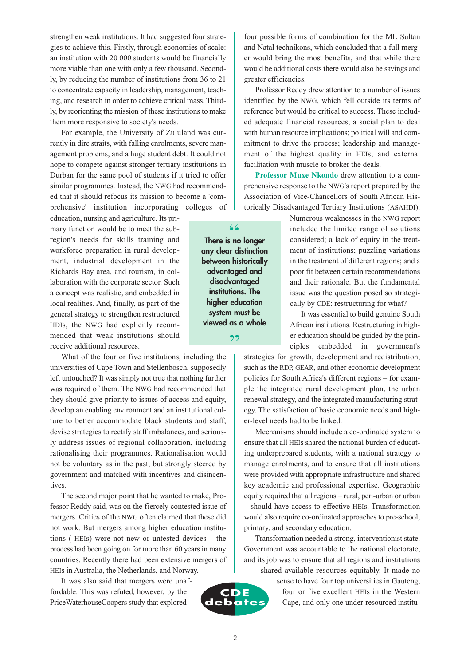strengthen weak institutions. It had suggested four strategies to achieve this. Firstly, through economies of scale: an institution with 20 000 students would be financially more viable than one with only a few thousand. Secondly, by reducing the number of institutions from 36 to 21 to concentrate capacity in leadership, management, teaching, and research in order to achieve critical mass. Thirdly, by reorienting the mission of these institutions to make them more responsive to society's needs.

For example, the University of Zululand was currently in dire straits, with falling enrolments, severe management problems, and a huge student debt. It could not hope to compete against stronger tertiary institutions in Durban for the same pool of students if it tried to offer similar programmes. Instead, the NWG had recommended that it should refocus its mission to become a 'com-

prehensive' institution incorporating colleges of education, nursing and agriculture. Its primary function would be to meet the subregion's needs for skills training and workforce preparation in rural development, industrial development in the Richards Bay area, and tourism, in collaboration with the corporate sector. Such a concept was realistic, and embedded in local realities. And, finally, as part of the general strategy to strengthen restructured HDIs, the NWG had explicitly recommended that weak institutions should receive additional resources.

What of the four or five institutions, including the universities of Cape Town and Stellenbosch, supposedly left untouched? It was simply not true that nothing further was required of them. The NWG had recommended that they should give priority to issues of access and equity, develop an enabling environment and an institutional culture to better accommodate black students and staff, devise strategies to rectify staff imbalances, and seriously address issues of regional collaboration, including rationalising their programmes. Rationalisation would not be voluntary as in the past, but strongly steered by government and matched with incentives and disincentives.

The second major point that he wanted to make, Professor Reddy said, was on the fiercely contested issue of mergers. Critics of the NWG often claimed that these did not work. But mergers among higher education institutions ( HEIs) were not new or untested devices – the process had been going on for more than 60 years in many countries. Recently there had been extensive mergers of HEIs in Australia, the Netherlands, and Norway.

It was also said that mergers were unaffordable. This was refuted, however, by the PriceWaterhouseCoopers study that explored

four possible forms of combination for the ML Sultan and Natal technikons, which concluded that a full merger would bring the most benefits, and that while there would be additional costs there would also be savings and greater efficiencies.

Professor Reddy drew attention to a number of issues identified by the NWG, which fell outside its terms of reference but would be critical to success. These included adequate financial resources; a social plan to deal with human resource implications; political will and commitment to drive the process; leadership and management of the highest quality in HEIs; and external facilitation with muscle to broker the deals.

**Professor Muxe Nkondo** drew attention to a comprehensive response to the NWG's report prepared by the Association of Vice-Chancellors of South African Historically Disadvantaged Tertiary Institutions (ASAHDI).

> Numerous weaknesses in the NWG report included the limited range of solutions considered; a lack of equity in the treatment of institutions; puzzling variations in the treatment of different regions; and a poor fit between certain recommendations and their rationale. But the fundamental issue was the question posed so strategically by CDE: restructuring for what?

> It was essential to build genuine South African institutions. Restructuring in higher education should be guided by the principles embedded in government's

strategies for growth, development and redistribution, such as the RDP, GEAR, and other economic development policies for South Africa's different regions – for example the integrated rural development plan, the urban renewal strategy, and the integrated manufacturing strategy. The satisfaction of basic economic needs and higher-level needs had to be linked.

Mechanisms should include a co-ordinated system to ensure that all HEIs shared the national burden of educating underprepared students, with a national strategy to manage enrolments, and to ensure that all institutions were provided with appropriate infrastructure and shared key academic and professional expertise. Geographic equity required that all regions – rural, peri-urban or urban – should have access to effective HEIs. Transformation would also require co-ordinated approaches to pre-school, primary, and secondary education.

Transformation needed a strong, interventionist state. Government was accountable to the national electorate, and its job was to ensure that all regions and institutions shared available resources equitably. It made no

sense to have four top universities in Gauteng, four or five excellent HEIs in the Western

**CDE debates**

 $-2-$ 



Cape, and only one under-resourced institu-

**There is no longer** "

**any clear distinction between historically advantaged and disadvantaged institutions. The higher education system must be viewed as a whole** 22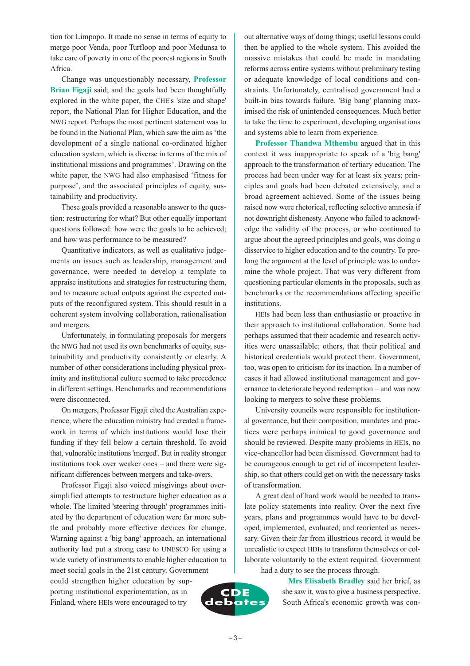tion for Limpopo. It made no sense in terms of equity to merge poor Venda, poor Turfloop and poor Medunsa to take care of poverty in one of the poorest regions in South Africa.

Change was unquestionably necessary, **Professor Brian Figaji** said; and the goals had been thoughtfully explored in the white paper, the CHE's 'size and shape' report, the National Plan for Higher Education, and the NWG report. Perhaps the most pertinent statement was to be found in the National Plan, which saw the aim as 'the development of a single national co-ordinated higher education system, which is diverse in terms of the mix of institutional missions and programmes'. Drawing on the white paper, the NWG had also emphasised 'fitness for purpose', and the associated principles of equity, sustainability and productivity.

These goals provided a reasonable answer to the question: restructuring for what? But other equally important questions followed: how were the goals to be achieved; and how was performance to be measured?

Quantitative indicators, as well as qualitative judgements on issues such as leadership, management and governance, were needed to develop a template to appraise institutions and strategies for restructuring them, and to measure actual outputs against the expected outputs of the reconfigured system. This should result in a coherent system involving collaboration, rationalisation and mergers.

Unfortunately, in formulating proposals for mergers the NWG had not used its own benchmarks of equity, sustainability and productivity consistently or clearly. A number of other considerations including physical proximity and institutional culture seemed to take precedence in different settings. Benchmarks and recommendations were disconnected.

On mergers, Professor Figaji cited the Australian experience, where the education ministry had created a framework in terms of which institutions would lose their funding if they fell below a certain threshold. To avoid that, vulnerable institutions 'merged'. But in reality stronger institutions took over weaker ones – and there were significant differences between mergers and take-overs.

Professor Figaji also voiced misgivings about oversimplified attempts to restructure higher education as a whole. The limited 'steering through' programmes initiated by the department of education were far more subtle and probably more effective devices for change. Warning against a 'big bang' approach, an international authority had put a strong case to UNESCO for using a wide variety of instruments to enable higher education to meet social goals in the 21st century. Government could strengthen higher education by sup-

porting institutional experimentation, as in Finland, where HEIs were encouraged to try

out alternative ways of doing things; useful lessons could then be applied to the whole system. This avoided the massive mistakes that could be made in mandating reforms across entire systems without preliminary testing or adequate knowledge of local conditions and constraints. Unfortunately, centralised government had a built-in bias towards failure. 'Big bang' planning maximised the risk of unintended consequences. Much better to take the time to experiment, developing organisations and systems able to learn from experience.

**Professor Thandwa Mthembu** argued that in this context it was inappropriate to speak of a 'big bang' approach to the transformation of tertiary education. The process had been under way for at least six years; principles and goals had been debated extensively, and a broad agreement achieved. Some of the issues being raised now were rhetorical, reflecting selective amnesia if not downright dishonesty. Anyone who failed to acknowledge the validity of the process, or who continued to argue about the agreed principles and goals, was doing a disservice to higher education and to the country. To prolong the argument at the level of principle was to undermine the whole project. That was very different from questioning particular elements in the proposals, such as benchmarks or the recommendations affecting specific institutions.

HEIs had been less than enthusiastic or proactive in their approach to institutional collaboration. Some had perhaps assumed that their academic and research activities were unassailable; others, that their political and historical credentials would protect them. Government, too, was open to criticism for its inaction. In a number of cases it had allowed institutional management and governance to deteriorate beyond redemption – and was now looking to mergers to solve these problems.

University councils were responsible for institutional governance, but their composition, mandates and practices were perhaps inimical to good governance and should be reviewed. Despite many problems in HEIs, no vice-chancellor had been dismissed. Government had to be courageous enough to get rid of incompetent leadership, so that others could get on with the necessary tasks of transformation.

A great deal of hard work would be needed to translate policy statements into reality. Over the next five years, plans and programmes would have to be developed, implemented, evaluated, and reoriented as necessary. Given their far from illustrious record, it would be unrealistic to expect HDIs to transform themselves or collaborate voluntarily to the extent required. Government had a duty to see the process through.

**Mrs Elisabeth Bradley** said her brief, as she saw it, was to give a business perspective. South Africa's economic growth was con-

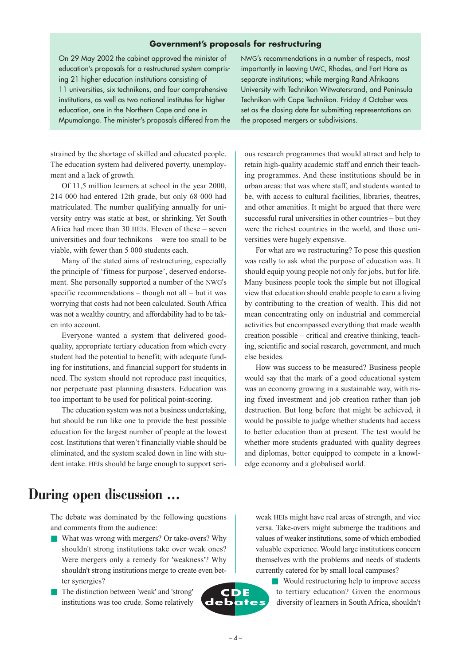#### **Government's proposals for restructuring**

On 29 May 2002 the cabinet approved the minister of education's proposals for a restructured system comprising 21 higher education institutions consisting of 11 universities, six technikons, and four comprehensive institutions, as well as two national institutes for higher education, one in the Northern Cape and one in Mpumalanga. The minister's proposals differed from the

strained by the shortage of skilled and educated people. The education system had delivered poverty, unemployment and a lack of growth.

Of 11,5 million learners at school in the year 2000, 214 000 had entered 12th grade, but only 68 000 had matriculated. The number qualifying annually for university entry was static at best, or shrinking. Yet South Africa had more than 30 HEIs. Eleven of these – seven universities and four technikons – were too small to be viable, with fewer than 5 000 students each.

Many of the stated aims of restructuring, especially the principle of 'fitness for purpose', deserved endorsement. She personally supported a number of the NWG's specific recommendations – though not all – but it was worrying that costs had not been calculated. South Africa was not a wealthy country, and affordability had to be taken into account.

Everyone wanted a system that delivered goodquality, appropriate tertiary education from which every student had the potential to benefit; with adequate funding for institutions, and financial support for students in need. The system should not reproduce past inequities, nor perpetuate past planning disasters. Education was too important to be used for political point-scoring.

The education system was not a business undertaking, but should be run like one to provide the best possible education for the largest number of people at the lowest cost. Institutions that weren't financially viable should be eliminated, and the system scaled down in line with student intake. HEIs should be large enough to support seriNWG's recommendations in a number of respects, most importantly in leaving UWC, Rhodes, and Fort Hare as separate institutions; while merging Rand Afrikaans University with Technikon Witwatersrand, and Peninsula Technikon with Cape Technikon. Friday 4 October was set as the closing date for submitting representations on the proposed mergers or subdivisions.

ous research programmes that would attract and help to retain high-quality academic staff and enrich their teaching programmes. And these institutions should be in urban areas: that was where staff, and students wanted to be, with access to cultural facilities, libraries, theatres, and other amenities. It might be argued that there were successful rural universities in other countries – but they were the richest countries in the world, and those universities were hugely expensive.

For what are we restructuring? To pose this question was really to ask what the purpose of education was. It should equip young people not only for jobs, but for life. Many business people took the simple but not illogical view that education should enable people to earn a living by contributing to the creation of wealth. This did not mean concentrating only on industrial and commercial activities but encompassed everything that made wealth creation possible – critical and creative thinking, teaching, scientific and social research, government, and much else besides.

How was success to be measured? Business people would say that the mark of a good educational system was an economy growing in a sustainable way, with rising fixed investment and job creation rather than job destruction. But long before that might be achieved, it would be possible to judge whether students had access to better education than at present. The test would be whether more students graduated with quality degrees and diplomas, better equipped to compete in a knowledge economy and a globalised world.

### **During open discussion …**

The debate was dominated by the following questions and comments from the audience:

- What was wrong with mergers? Or take-overs? Why shouldn't strong institutions take over weak ones? Were mergers only a remedy for 'weakness'? Why shouldn't strong institutions merge to create even better synergies?
- The distinction between 'weak' and 'strong' institutions was too crude. Some relatively



weak HEIs might have real areas of strength, and vice versa. Take-overs might submerge the traditions and values of weaker institutions, some of which embodied valuable experience. Would large institutions concern themselves with the problems and needs of students currently catered for by small local campuses?

■ Would restructuring help to improve access to tertiary education? Given the enormous diversity of learners in South Africa, shouldn't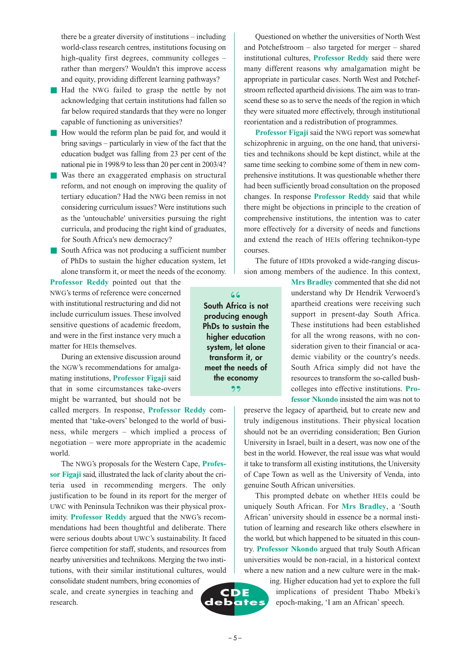there be a greater diversity of institutions – including world-class research centres, institutions focusing on high-quality first degrees, community colleges – rather than mergers? Wouldn't this improve access and equity, providing different learning pathways?

- Had the NWG failed to grasp the nettle by not acknowledging that certain institutions had fallen so far below required standards that they were no longer capable of functioning as universities?
- How would the reform plan be paid for, and would it bring savings – particularly in view of the fact that the education budget was falling from 23 per cent of the national pie in 1998/9 to less than 20 per cent in 2003/4?
- Was there an exaggerated emphasis on structural reform, and not enough on improving the quality of tertiary education? Had the NWG been remiss in not considering curriculum issues? Were institutions such as the 'untouchable' universities pursuing the right curricula, and producing the right kind of graduates, for South Africa's new democracy?
- South Africa was not producing a sufficient number of PhDs to sustain the higher education system, let alone transform it, or meet the needs of the economy.

**Professor Reddy** pointed out that the NWG's terms of reference were concerned with institutional restructuring and did not include curriculum issues. These involved sensitive questions of academic freedom, and were in the first instance very much a matter for HEIs themselves.

During an extensive discussion around the NGW's recommendations for amalgamating institutions, **Professor Figaji** said that in some circumstances take-overs might be warranted, but should not be

called mergers. In response, **Professor Reddy** commented that 'take-overs' belonged to the world of business, while mergers – which implied a process of negotiation – were more appropriate in the academic world.

The NWG's proposals for the Western Cape, **Professor Figaji** said, illustrated the lack of clarity about the criteria used in recommending mergers. The only justification to be found in its report for the merger of UWC with Peninsula Technikon was their physical proximity. **Professor Reddy** argued that the NWG's recommendations had been thoughtful and deliberate. There were serious doubts about UWC's sustainability. It faced fierce competition for staff, students, and resources from nearby universities and technikons. Merging the two institutions, with their similar institutional cultures, would

consolidate student numbers, bring economies of scale, and create synergies in teaching and research.

Questioned on whether the universities of North West and Potchefstroom – also targeted for merger – shared institutional cultures, **Professor Reddy** said there were many different reasons why amalgamation might be appropriate in particular cases. North West and Potchefstroom reflected apartheid divisions. The aim was to transcend these so as to serve the needs of the region in which they were situated more effectively, through institutional reorientation and a redistribution of programmes.

**Professor Figaji** said the NWG report was somewhat schizophrenic in arguing, on the one hand, that universities and technikons should be kept distinct, while at the same time seeking to combine some of them in new comprehensive institutions. It was questionable whether there had been sufficiently broad consultation on the proposed changes. In response **Professor Reddy** said that while there might be objections in principle to the creation of comprehensive institutions, the intention was to cater more effectively for a diversity of needs and functions and extend the reach of HEIs offering technikon-type courses.

The future of HDIs provoked a wide-ranging discussion among members of the audience. In this context,

> **Mrs Bradley** commented that she did not understand why Dr Hendrik Verwoerd's apartheid creations were receiving such support in present-day South Africa. These institutions had been established for all the wrong reasons, with no consideration given to their financial or academic viability or the country's needs. South Africa simply did not have the resources to transform the so-called bushcolleges into effective institutions. **Professor Nkondo** insisted the aim was not to

preserve the legacy of apartheid, but to create new and truly indigenous institutions. Their physical location should not be an overriding consideration; Ben Gurion University in Israel, built in a desert, was now one of the best in the world. However, the real issue was what would it take to transform all existing institutions, the University of Cape Town as well as the University of Venda, into genuine South African universities.

This prompted debate on whether HEIs could be uniquely South African. For **Mrs Bradley**, a 'South African' university should in essence be a normal institution of learning and research like others elsewhere in the world, but which happened to be situated in this country. **Professor Nkondo** argued that truly South African universities would be non-racial, in a historical context where a new nation and a new culture were in the mak-

> ing. Higher education had yet to explore the full implications of president Thabo Mbeki's epoch-making, 'I am an African' speech.

**South Africa is not** " **producing enough PhDs to sustain the higher education system, let alone transform it, or meet the needs of the economy**  $22$ 

**CDE debates**